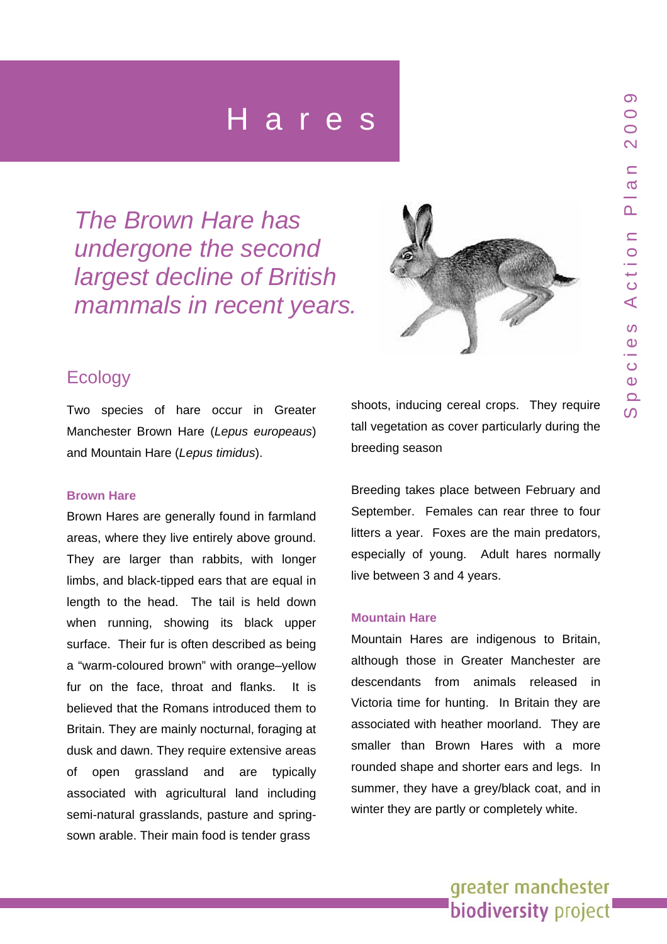*The Brown Hare has undergone the second largest decline of British mammals in recent years.* 



## **Ecology**

Two species of hare occur in Greater Manchester Brown Hare (*Lepus europeaus*) and Mountain Hare (*Lepus timidus*).

#### **Brown Hare**

Brown Hares are generally found in farmland areas, where they live entirely above ground. They are larger than rabbits, with longer limbs, and black-tipped ears that are equal in length to the head. The tail is held down when running, showing its black upper surface. Their fur is often described as being a "warm-coloured brown" with orange–yellow fur on the face, throat and flanks. It is believed that the Romans introduced them to Britain. They are mainly nocturnal, foraging at dusk and dawn. They require extensive areas of open grassland and are typically associated with agricultural land including semi-natural grasslands, pasture and springsown arable. Their main food is tender grass

shoots, inducing cereal crops. They require tall vegetation as cover particularly during the breeding season

Breeding takes place between February and September. Females can rear three to four litters a year. Foxes are the main predators, especially of young. Adult hares normally live between 3 and 4 years.

#### **Mountain Hare**

Mountain Hares are indigenous to Britain, although those in Greater Manchester are descendants from animals released in Victoria time for hunting. In Britain they are associated with heather moorland. They are smaller than Brown Hares with a more rounded shape and shorter ears and legs. In summer, they have a grey/black coat, and in winter they are partly or completely white.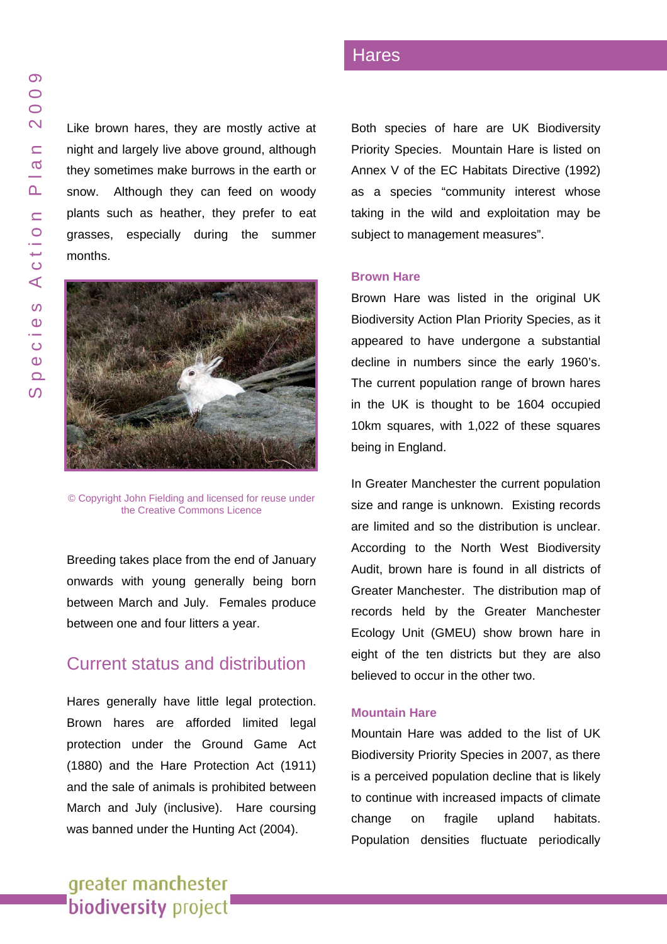Like brown hares, they are mostly active at night and largely live above ground, although they sometimes make burrows in the earth or snow. Although they can feed on woody plants such as heather, they prefer to ea t grasses, e specially during the summer



ielding and licensed for reuse under the [Creative C](http://creativecommons.org/licenses/by-sa/2.0/)ommons Licence

Breeding takes place from the end of January onwards with young generally being born between March and July. Female s produce between one and four litters a year.

### Current status and distribution

Hares generally have little legal protection. Brown hares are afforded limited legal protection under the Ground Game Act (1880) and the Hare Protection Act (1911) and the sale of animals is prohibited between March and July (inclusive). Hare coursing was banned under the Hunting Act (2004).

### Hares

Both species of hare are UK Biodiversity Priority Spe cies. Mountain Hare is listed o n Annex V of the EC Habitats Directive (1992) as a species "community interest whose taking in the wild and exploitation may be subject to management measures".

#### **Brown Hare**

Brown Hare was listed in the original UK Biodiversity Action Plan Priority Spe cies, as it appeared t o have undergone a substantial decline in numbers since the early 1960's. The current population range of brown hares in the UK is thought t o be 1604 occupie d 10km squares, with 1,022 of these squares being in Eng land.

In Greater Manchester the current population size and range is unknown. Existing records are limited and so the distribution is unclear. According to the North West Biodiversity Audit, brown hare is found in all districts of Greater Manchester. The distribution map of records held by the Greater Manchester Ecology Unit (GMEU) show brown hare in eight of the ten districts but they are also believed to occur in the other two.

#### **Mountain Hare**

Mountain Hare was added to the list of UK Biodiversity Priority Species in 2007, as there is a perceived population decline that is likely to continue with increased impacts of climate change o fragile upland habitats. Population densities fluctuate periodically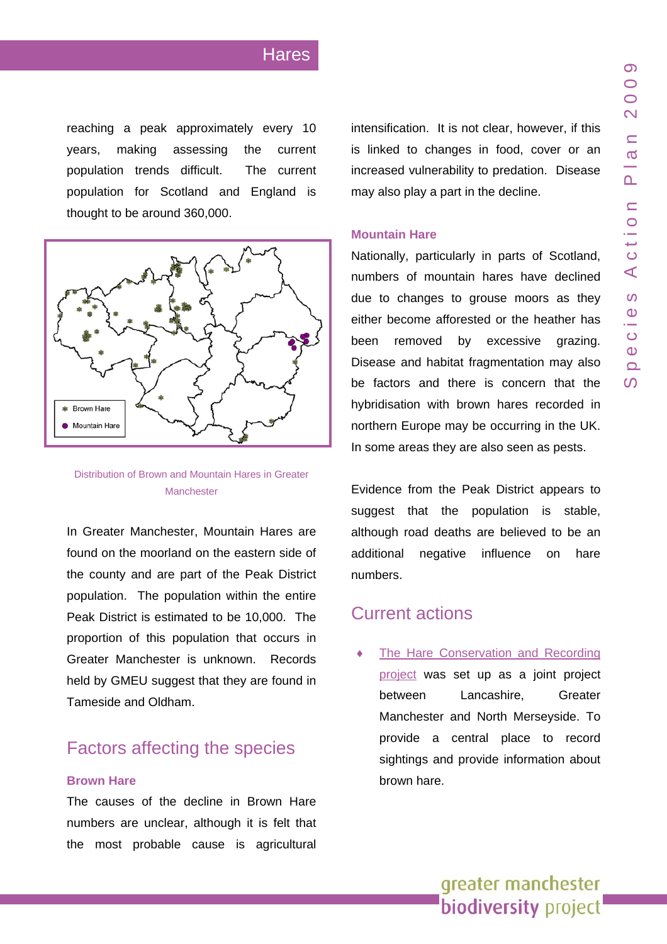reaching a peak approximately every 10 years, making assessing the current population trends difficult. The current population for Scotland and England is thought to be around 360,000.



Distribution of Brown and Mountain Hares in Greater **Manchester** 

In Greater Manchester, Mountain Hares are found on the moorland on the eastern side of the county and are part of the Peak District population. The population within the entire Peak District is estimated to be 10,000. The proportion of this population that occurs in Greater Manchester is unknown. Records held by GMEU suggest that they are found in Tameside and Oldham.

# Factors affecting the species

#### **Brown Hare**

The causes of the decline in Brown Hare numbers are unclear, although it is felt that the most probable cause is agricultural intensification. It is not clear, however, if this is linked to changes in food, cover or an increased vulnerability to predation. Disease may also play a part in the decline.

#### **Mountain Hare**

Nationally, particularly in parts of Scotland, numbers of mountain hares have declined due to changes to grouse moors as they either become afforested or the heather has been removed by excessive grazing. Disease and habitat fragmentation may also be factors and there is concern that the hybridisation with brown hares recorded in northern Europe may be occurring in the UK. In some areas they are also seen as pests.

Evidence from the Peak District appears to suggest that the population is stable, although road deaths are believed to be an additional negative influence on hare numbers.

### Current actions

[The Hare Conservation and Recording](http://www.brownhare.org.uk/default.aspx?content=home.xml) [project](http://www.brownhare.org.uk/default.aspx?content=home.xml) was set up as a joint project between Lancashire, Greater Manchester and North Merseyside. To provide a central place to record sightings and provide information about brown hare.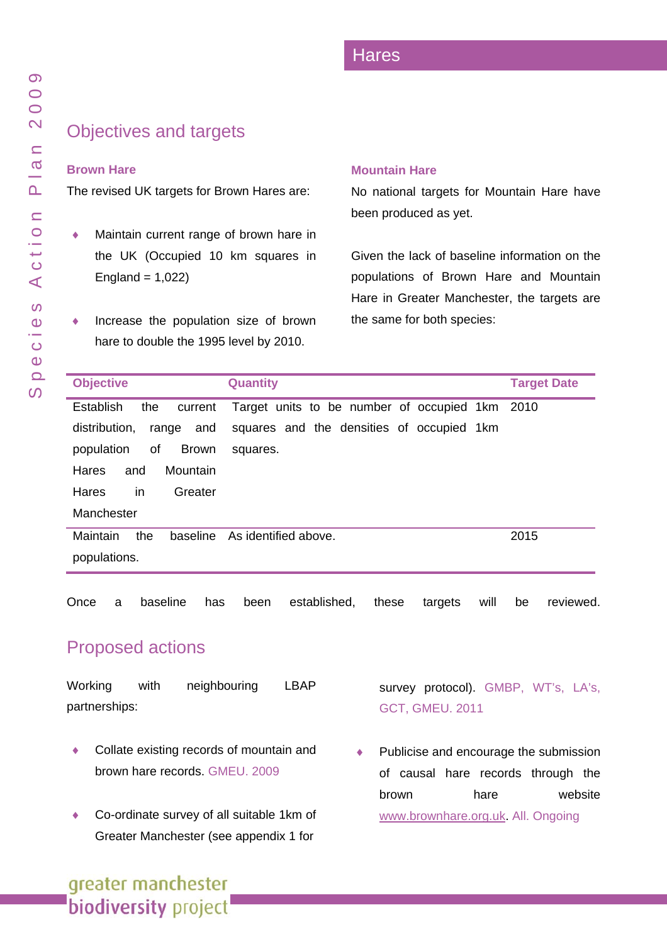# Objectives and targets

### **Brown Hare**

The revised UK targets for Brown Hares are:

- ◆ Maintain current range of brown hare in the UK (Occupied 1 0 km squares in  $Englished = 1,022$
- ♦ Increase the population size of b rown hare to double the 1995 level by 2010.

#### **Mountain Hare**

No national targets for Mountain Hare have been produced as yet.

Given the lack of baseline information on the populations of Brown Hare and Mountain Hare in Gre ater Manchester, the targets are the same for both species:

| <b>Objective</b>                 | <b>Quantity</b>                                | <b>Target Date</b> |
|----------------------------------|------------------------------------------------|--------------------|
| Establish<br>the<br>current      | Target units to be number of occupied 1km 2010 |                    |
| range and<br>distribution.       | squares and the densities of occupied 1km      |                    |
| of<br>population<br><b>Brown</b> | squares.                                       |                    |
| Mountain<br>Hares<br>and         |                                                |                    |
| in<br><b>Hares</b><br>Greater    |                                                |                    |
| Manchester                       |                                                |                    |
| Maintain<br>the<br>baseline      | As identified above.                           | 2015               |
| populations.                     |                                                |                    |

Once a baseline has been established, these targets will be reviewed.

# Proposed actions

Working with neighbouring LBAP partnerships:

- ♦ Collate existing records of mountain and brown hare records. GMEU. 2009
- Co-ordinate survey of all suitable 1km of Greater Manchester (se e appendix 1 for

survey protocol). GMBP, WT's, LA's, GCT, GMEU. 2011

Publicise and encourage the submission of causal hare records through the brown hare website [www.brownhare.org.uk.](http://www.brownhare.org.uk/) All. Ongoing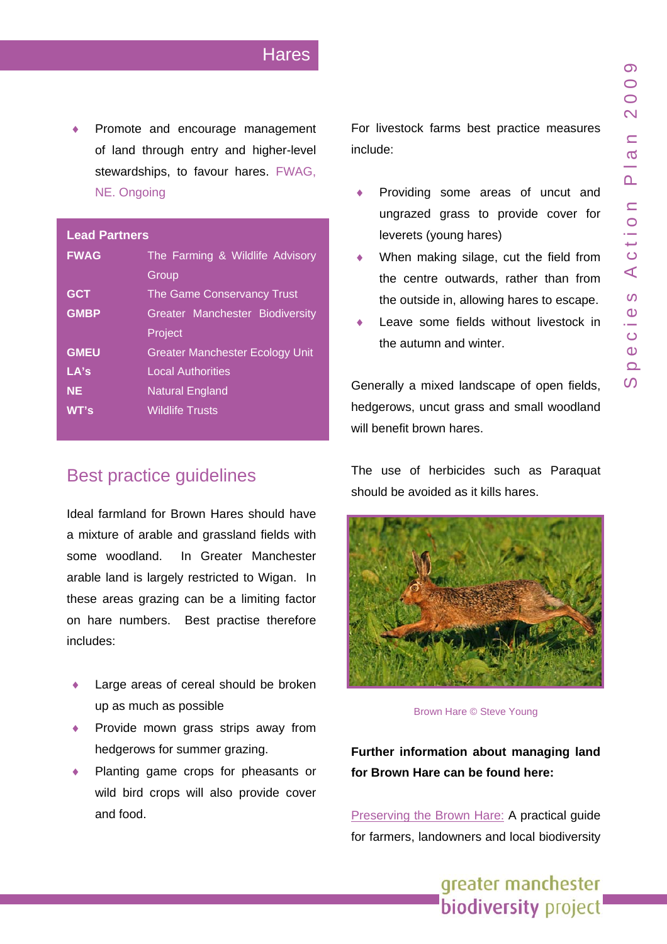Promote and encourage management of land through entry and higher-level stewardships, to favour hares. FWAG, NE. Ongoing

#### **Lead Partners**

| <b>FWAG</b> | The Farming & Wildlife Advisory        |  |  |
|-------------|----------------------------------------|--|--|
|             | Group                                  |  |  |
| <b>GCT</b>  | The Game Conservancy Trust             |  |  |
| <b>GMBP</b> | Greater Manchester Biodiversity        |  |  |
|             | Project                                |  |  |
| <b>GMEU</b> | <b>Greater Manchester Ecology Unit</b> |  |  |
| LA's        | <b>Local Authorities</b>               |  |  |
| <b>NE</b>   | <b>Natural England</b>                 |  |  |
| WT's        | <b>Wildlife Trusts</b>                 |  |  |

# Best practice guidelines

Ideal farmland for Brown Hares should have a mixture of arable and grassland fields with some woodland. In Greater Manchester arable land is largely restricted to Wigan. In these areas grazing can be a limiting factor on hare numbers. Best practise therefore includes:

- Large areas of cereal should be broken up as much as possible
- Provide mown grass strips away from hedgerows for summer grazing.
- Planting game crops for pheasants or wild bird crops will also provide cover and food.

For livestock farms best practice measures include:

- Providing some areas of uncut and ungrazed grass to provide cover for leverets (young hares)
- When making silage, cut the field from the centre outwards, rather than from the outside in, allowing hares to escape.
- Leave some fields without livestock in the autumn and winter.

Generally a mixed landscape of open fields, hedgerows, uncut grass and small woodland will benefit brown hares.

The use of herbicides such as Paraquat should be avoided as it kills hares.



Brown Hare © Steve Young

**Further information about managing land for Brown Hare can be found here:**

[Preserving the Brown Hare:](http://www.gwct.org.uk/documents/conservingthebrown_hare.pdf) A practical guide for farmers, landowners and local biodiversity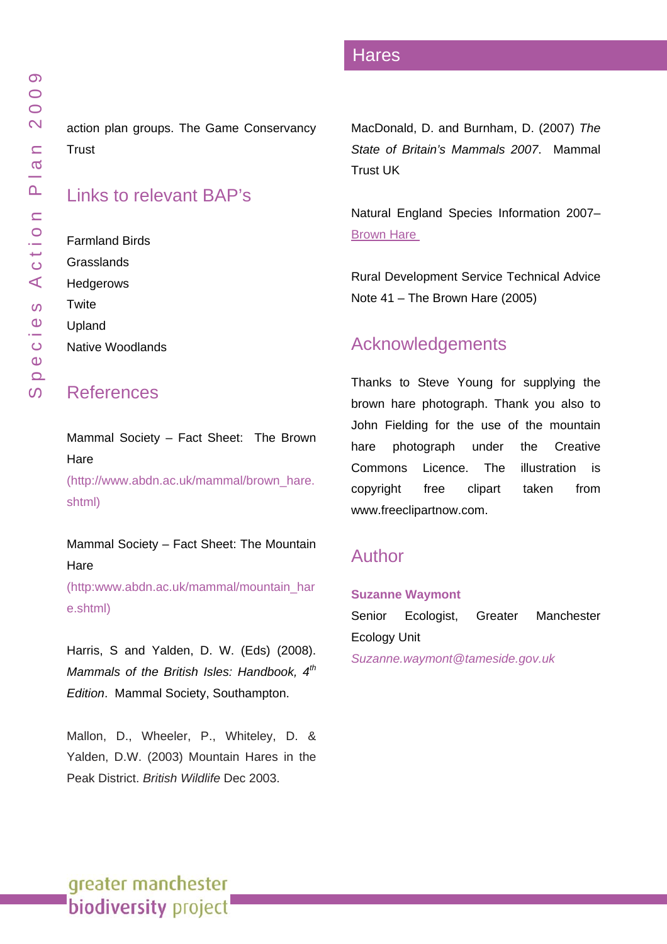action plan groups. The Game Con servancy **Trust** 

### Links to relevant BAP's

Farmland Birds **Grasslands** [Hedgerows](www.gmbp.org.uk/site/images/stories/hedgerows bap_09.pdf)  **Twite** Upland [Native Woo](www.gmbp.org.uk/site/images/stories/native woodland bap_09.pdf) dlands

### References

Mammal Society – Fact Sheet: The Brown Hare<br>[\(http://www.abdn.ac.uk/mammal/brown\\_hare.](http://www.abdn.ac.uk/mammal/brown_hare.shtml)

[shtm](http://www.abdn.ac.uk/mammal/brown_hare.shtml) l )

Mammal Society – Fact Sheet: The Mountain Hare [\(http:www.abdn.ac.uk/mammal/mou](http://www.abdn.ac.uk/mammal/mountain_hare.shtml) ntain\_har

[e.shtml](http://www.abdn.ac.uk/mammal/mountain_hare.shtml))

Harris, S and Yalden, D. W. (Eds) (2008). *Mammals o f the British Isles: Handbook, 4th Edition*. Mammal Society, Southampton.

Mallon, D., Wheeler, P., Whiteley, D. & Yalden, D.W. (2003) Mountain Hares in the Peak District. *British Wildlife* Dec 2003.

MacDonald, D. and Burnham, D. (2007) *The State of Britain's Mammals 2007*. Mammal Trust UK

Natural Eng land Species Information 2007– **Brown Hare** 

Rural Development Service Technical Advice Note 41 – The Brown Hare (2005)

### Acknowledgements

Thanks to Steve Young for supplying the brown hare photograph. Thank you also to John Fielding for the use of the mountain hare photograph under the Creative Commons Licence. The illustration is copyright free clipart taken from www.freeclipartnow.com.

# Author

#### **Suzanne Waymont**

Senior Ecologist, Greater Manchester Ecology Unit *Suzanne.waymont@ta meside.gov.uk*